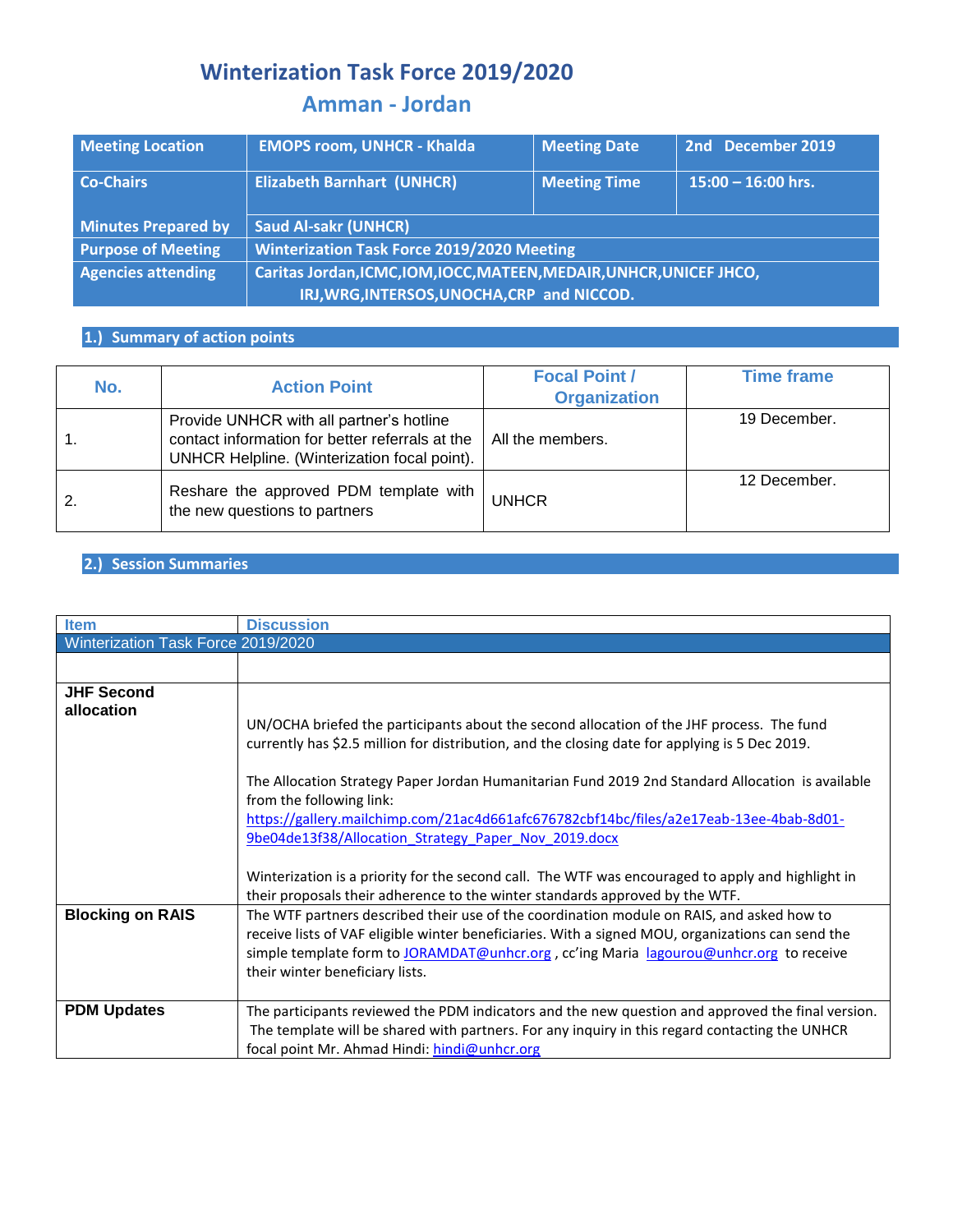# **Winterization Task Force 2019/2020**

## **Amman - Jordan**

| <b>Meeting Location</b>    | <b>EMOPS room, UNHCR - Khalda</b>                                    | <b>Meeting Date</b> | 2nd December 2019    |  |  |
|----------------------------|----------------------------------------------------------------------|---------------------|----------------------|--|--|
| <b>Co-Chairs</b>           | <b>Elizabeth Barnhart (UNHCR)</b>                                    | <b>Meeting Time</b> | $15:00 - 16:00$ hrs. |  |  |
| <b>Minutes Prepared by</b> | <b>Saud Al-sakr (UNHCR)</b>                                          |                     |                      |  |  |
| <b>Purpose of Meeting</b>  | <b>Winterization Task Force 2019/2020 Meeting</b>                    |                     |                      |  |  |
| <b>Agencies attending</b>  | Caritas Jordan, ICMC, IOM, IOCC, MATEEN, MEDAIR, UNHCR, UNICEF JHCO, |                     |                      |  |  |
|                            | IRJ, WRG, INTERSOS, UNOCHA, CRP and NICCOD.                          |                     |                      |  |  |

### **1.) Summary of action points**

| No. | <b>Action Point</b>                                                                                                                         | <b>Focal Point /</b><br><b>Organization</b> | <b>Time frame</b> |
|-----|---------------------------------------------------------------------------------------------------------------------------------------------|---------------------------------------------|-------------------|
|     | Provide UNHCR with all partner's hotline<br>contact information for better referrals at the<br>UNHCR Helpline. (Winterization focal point). | All the members.                            | 19 December.      |
|     | Reshare the approved PDM template with<br>the new questions to partners                                                                     | <b>UNHCR</b>                                | 12 December.      |

#### **2.) Session Summaries**

| <b>Item</b>                        | <b>Discussion</b>                                                                                                                                                                                                                                                                                                                                                                                                                                                                                                                                                                  |  |  |  |  |
|------------------------------------|------------------------------------------------------------------------------------------------------------------------------------------------------------------------------------------------------------------------------------------------------------------------------------------------------------------------------------------------------------------------------------------------------------------------------------------------------------------------------------------------------------------------------------------------------------------------------------|--|--|--|--|
| Winterization Task Force 2019/2020 |                                                                                                                                                                                                                                                                                                                                                                                                                                                                                                                                                                                    |  |  |  |  |
|                                    |                                                                                                                                                                                                                                                                                                                                                                                                                                                                                                                                                                                    |  |  |  |  |
| <b>JHF Second</b><br>allocation    | UN/OCHA briefed the participants about the second allocation of the JHF process. The fund<br>currently has \$2.5 million for distribution, and the closing date for applying is 5 Dec 2019.<br>The Allocation Strategy Paper Jordan Humanitarian Fund 2019 2nd Standard Allocation is available<br>from the following link:<br>https://gallery.mailchimp.com/21ac4d661afc676782cbf14bc/files/a2e17eab-13ee-4bab-8d01-<br>9be04de13f38/Allocation Strategy Paper Nov 2019.docx<br>Winterization is a priority for the second call. The WTF was encouraged to apply and highlight in |  |  |  |  |
|                                    | their proposals their adherence to the winter standards approved by the WTF.                                                                                                                                                                                                                                                                                                                                                                                                                                                                                                       |  |  |  |  |
| <b>Blocking on RAIS</b>            | The WTF partners described their use of the coordination module on RAIS, and asked how to<br>receive lists of VAF eligible winter beneficiaries. With a signed MOU, organizations can send the<br>simple template form to JORAMDAT@unhcr.org, cc'ing Maria lagourou@unhcr.org to receive<br>their winter beneficiary lists.                                                                                                                                                                                                                                                        |  |  |  |  |
| <b>PDM Updates</b>                 | The participants reviewed the PDM indicators and the new question and approved the final version.<br>The template will be shared with partners. For any inquiry in this regard contacting the UNHCR<br>focal point Mr. Ahmad Hindi: hindi@unhcr.org                                                                                                                                                                                                                                                                                                                                |  |  |  |  |